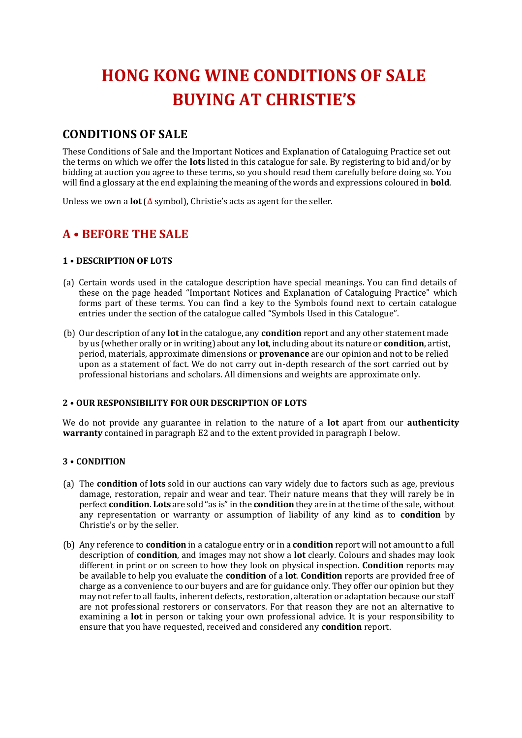# **HONG KONG WINE CONDITIONS OF SALE BUYING AT CHRISTIE'S**

# **CONDITIONS OF SALE**

These Conditions of Sale and the Important Notices and Explanation of Cataloguing Practice set out the terms on which we offer the **lots** listed in this catalogue for sale. By registering to bid and/or by bidding at auction you agree to these terms, so you should read them carefully before doing so. You will find a glossary at the end explaining the meaning of the words and expressions coloured in **bold**.

Unless we own a **lot** (∆ symbol), Christie's acts as agent for the seller.

# **A • BEFORE THE SALE**

#### **1 • DESCRIPTION OF LOTS**

- (a) Certain words used in the catalogue description have special meanings. You can find details of these on the page headed "Important Notices and Explanation of Cataloguing Practice" which forms part of these terms. You can find a key to the Symbols found next to certain catalogue entries under the section of the catalogue called "Symbols Used in this Catalogue".
- (b) Our description of any **lot** in the catalogue, any **condition** report and any other statement made by us (whether orally or in writing) about any **lot**, including about its nature or **condition**, artist, period, materials, approximate dimensions or **provenance** are our opinion and not to be relied upon as a statement of fact. We do not carry out in-depth research of the sort carried out by professional historians and scholars. All dimensions and weights are approximate only.

#### **2 • OUR RESPONSIBILITY FOR OUR DESCRIPTION OF LOTS**

We do not provide any guarantee in relation to the nature of a **lot** apart from our **authenticity warranty** contained in paragraph E2 and to the extent provided in paragraph I below.

#### **3 • CONDITION**

- (a) The **condition** of **lots** sold in our auctions can vary widely due to factors such as age, previous damage, restoration, repair and wear and tear. Their nature means that they will rarely be in perfect **condition**. **Lots** are sold "as is" in the **condition** they are in at the time of the sale, without any representation or warranty or assumption of liability of any kind as to **condition** by Christie's or by the seller.
- (b) Any reference to **condition** in a catalogue entry or in a **condition** report will not amount to a full description of **condition**, and images may not show a **lot** clearly. Colours and shades may look different in print or on screen to how they look on physical inspection. **Condition** reports may be available to help you evaluate the **condition** of a **lot**. **Condition** reports are provided free of charge as a convenience to our buyers and are for guidance only. They offer our opinion but they may not refer to all faults, inherent defects, restoration, alteration or adaptation because our staff are not professional restorers or conservators. For that reason they are not an alternative to examining a **lot** in person or taking your own professional advice. It is your responsibility to ensure that you have requested, received and considered any **condition** report.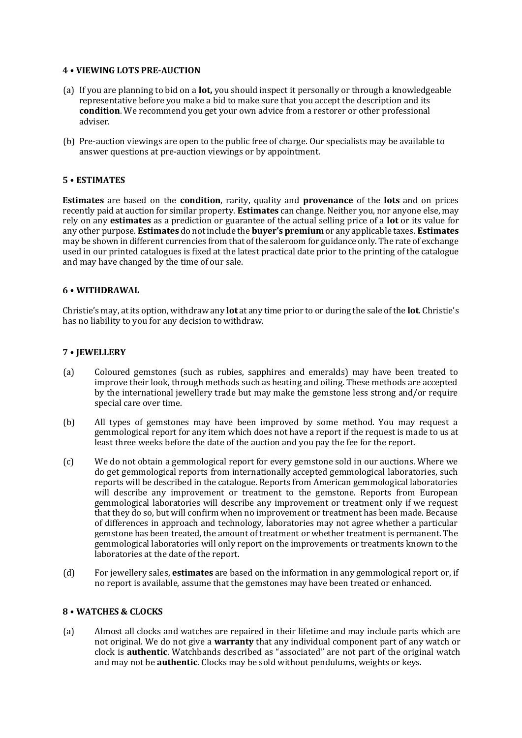#### **4 • VIEWING LOTS PRE-AUCTION**

- (a) If you are planning to bid on a **lot,** you should inspect it personally or through a knowledgeable representative before you make a bid to make sure that you accept the description and its **condition**. We recommend you get your own advice from a restorer or other professional adviser.
- (b) Pre-auction viewings are open to the public free of charge. Our specialists may be available to answer questions at pre-auction viewings or by appointment.

#### **5 • ESTIMATES**

**Estimates** are based on the **condition**, rarity, quality and **provenance** of the **lots** and on prices recently paid at auction for similar property. **Estimates** can change. Neither you, nor anyone else, may rely on any **estimates** as a prediction or guarantee of the actual selling price of a **lot** or its value for any other purpose. **Estimates** do not include the **buyer's premium** or any applicable taxes. **Estimates** may be shown in different currencies from that of the saleroom for guidance only. The rate of exchange used in our printed catalogues is fixed at the latest practical date prior to the printing of the catalogue and may have changed by the time of our sale.

#### **6 • WITHDRAWAL**

Christie's may, at its option, withdraw any **lot** at any time prior to or during the sale of the **lot**. Christie's has no liability to you for any decision to withdraw.

#### **7 • JEWELLERY**

- (a) Coloured gemstones (such as rubies, sapphires and emeralds) may have been treated to improve their look, through methods such as heating and oiling. These methods are accepted by the international jewellery trade but may make the gemstone less strong and/or require special care over time.
- (b) All types of gemstones may have been improved by some method. You may request a gemmological report for any item which does not have a report if the request is made to us at least three weeks before the date of the auction and you pay the fee for the report.
- (c) We do not obtain a gemmological report for every gemstone sold in our auctions. Where we do get gemmological reports from internationally accepted gemmological laboratories, such reports will be described in the catalogue. Reports from American gemmological laboratories will describe any improvement or treatment to the gemstone. Reports from European gemmological laboratories will describe any improvement or treatment only if we request that they do so, but will confirm when no improvement or treatment has been made. Because of differences in approach and technology, laboratories may not agree whether a particular gemstone has been treated, the amount of treatment or whether treatment is permanent. The gemmological laboratories will only report on the improvements or treatments known to the laboratories at the date of the report.
- (d) For jewellery sales, **estimates** are based on the information in any gemmological report or, if no report is available, assume that the gemstones may have been treated or enhanced.

#### **8 • WATCHES & CLOCKS**

(a) Almost all clocks and watches are repaired in their lifetime and may include parts which are not original. We do not give a **warranty** that any individual component part of any watch or clock is **authentic**. Watchbands described as "associated" are not part of the original watch and may not be **authentic**. Clocks may be sold without pendulums, weights or keys.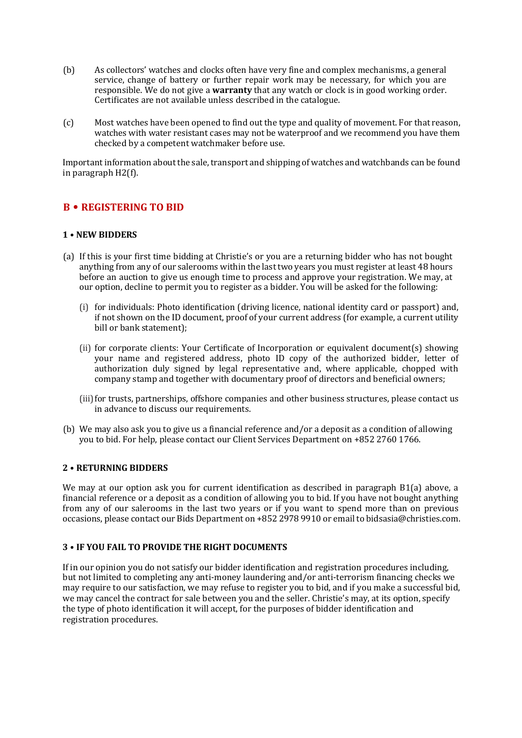- (b) As collectors' watches and clocks often have very fine and complex mechanisms, a general service, change of battery or further repair work may be necessary, for which you are responsible. We do not give a **warranty** that any watch or clock is in good working order. Certificates are not available unless described in the catalogue.
- (c) Most watches have been opened to find out the type and quality of movement. For that reason, watches with water resistant cases may not be waterproof and we recommend you have them checked by a competent watchmaker before use.

Important information about the sale, transport and shipping of watches and watchbands can be found in paragraph H2(f).

### **B • REGISTERING TO BID**

#### **1 • NEW BIDDERS**

- (a) If this is your first time bidding at Christie's or you are a returning bidder who has not bought anything from any of our salerooms within the last two years you must register at least 48 hours before an auction to give us enough time to process and approve your registration. We may, at our option, decline to permit you to register as a bidder. You will be asked for the following:
	- (i) for individuals: Photo identification (driving licence, national identity card or passport) and, if not shown on the ID document, proof of your current address (for example, a current utility bill or bank statement);
	- (ii) for corporate clients: Your Certificate of Incorporation or equivalent document(s) showing your name and registered address, photo ID copy of the authorized bidder, letter of authorization duly signed by legal representative and, where applicable, chopped with company stamp and together with documentary proof of directors and beneficial owners;
	- (iii)for trusts, partnerships, offshore companies and other business structures, please contact us in advance to discuss our requirements.
- (b) We may also ask you to give us a financial reference and/or a deposit as a condition of allowing you to bid. For help, please contact our Client Services Department on +852 2760 1766.

#### **2 • RETURNING BIDDERS**

We may at our option ask you for current identification as described in paragraph B1(a) above, a financial reference or a deposit as a condition of allowing you to bid. If you have not bought anything from any of our salerooms in the last two years or if you want to spend more than on previous occasions, please contact our Bids Department on +852 2978 9910 or email to bidsasia@christies.com.

#### **3 • IF YOU FAIL TO PROVIDE THE RIGHT DOCUMENTS**

If in our opinion you do not satisfy our bidder identification and registration procedures including, but not limited to completing any anti-money laundering and/or anti-terrorism financing checks we may require to our satisfaction, we may refuse to register you to bid, and if you make a successful bid, we may cancel the contract for sale between you and the seller. Christie's may, at its option, specify the type of photo identification it will accept, for the purposes of bidder identification and registration procedures.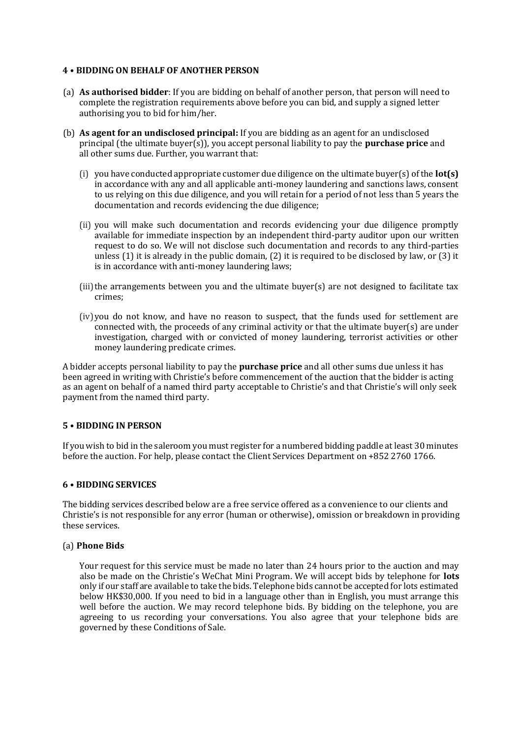#### **4 • BIDDING ON BEHALF OF ANOTHER PERSON**

- (a) **As authorised bidder**: If you are bidding on behalf of another person, that person will need to complete the registration requirements above before you can bid, and supply a signed letter authorising you to bid for him/her.
- (b) **As agent for an undisclosed principal:** If you are bidding as an agent for an undisclosed principal (the ultimate buyer(s)), you accept personal liability to pay the **purchase price** and all other sums due. Further, you warrant that:
	- (i) you have conducted appropriate customer due diligence on the ultimate buyer(s) of the **lot(s)** in accordance with any and all applicable anti-money laundering and sanctions laws, consent to us relying on this due diligence, and you will retain for a period of not less than 5 years the documentation and records evidencing the due diligence;
	- (ii) you will make such documentation and records evidencing your due diligence promptly available for immediate inspection by an independent third-party auditor upon our written request to do so. We will not disclose such documentation and records to any third-parties unless (1) it is already in the public domain, (2) it is required to be disclosed by law, or (3) it is in accordance with anti-money laundering laws;
	- $(iii)$ the arrangements between you and the ultimate buyer(s) are not designed to facilitate tax crimes;
	- (iv)you do not know, and have no reason to suspect, that the funds used for settlement are connected with, the proceeds of any criminal activity or that the ultimate buyer(s) are under investigation, charged with or convicted of money laundering, terrorist activities or other money laundering predicate crimes.

A bidder accepts personal liability to pay the **purchase price** and all other sums due unless it has been agreed in writing with Christie's before commencement of the auction that the bidder is acting as an agent on behalf of a named third party acceptable to Christie's and that Christie's will only seek payment from the named third party.

#### **5 • BIDDING IN PERSON**

If you wish to bid in the saleroom you must register for a numbered bidding paddle at least 30 minutes before the auction. For help, please contact the Client Services Department on +852 2760 1766.

#### **6 • BIDDING SERVICES**

The bidding services described below are a free service offered as a convenience to our clients and Christie's is not responsible for any error (human or otherwise), omission or breakdown in providing these services.

#### (a) **Phone Bids**

Your request for this service must be made no later than 24 hours prior to the auction and may also be made on the Christie's WeChat Mini Program. We will accept bids by telephone for **lots** only if our staff are available to take the bids. Telephone bids cannot be accepted for lots estimated below HK\$30,000. If you need to bid in a language other than in English, you must arrange this well before the auction. We may record telephone bids. By bidding on the telephone, you are agreeing to us recording your conversations. You also agree that your telephone bids are governed by these Conditions of Sale.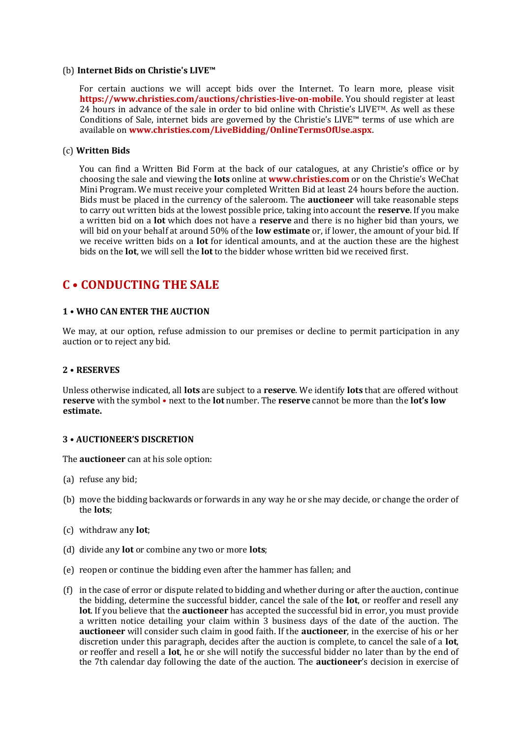#### (b) **Internet Bids on Christie's LIVE™**

For certain auctions we will accept bids over the Internet. To learn more, please visit **https://www.christies.com/auctions/christies-live-on-mobile**. You should register at least 24 hours in advance of the sale in order to bid online with Christie's LIVE<sup>TM</sup>. As well as these Conditions of Sale, internet bids are governed by the Christie's LIVE™ terms of use which are available on **www.christies.com/LiveBidding/OnlineTermsOfUse.aspx**.

#### (c) **Written Bids**

You can find a Written Bid Form at the back of our catalogues, at any Christie's office or by choosing the sale and viewing the **lots** online at **www.christies.com** or on the Christie's WeChat Mini Program. We must receive your completed Written Bid at least 24 hours before the auction. Bids must be placed in the currency of the saleroom. The **auctioneer** will take reasonable steps to carry out written bids at the lowest possible price, taking into account the **reserve**. If you make a written bid on a **lot** which does not have a **reserve** and there is no higher bid than yours, we will bid on your behalf at around 50% of the **low estimate** or, if lower, the amount of your bid. If we receive written bids on a **lot** for identical amounts, and at the auction these are the highest bids on the **lot**, we will sell the **lot** to the bidder whose written bid we received first.

# **C • CONDUCTING THE SALE**

#### **1 • WHO CAN ENTER THE AUCTION**

We may, at our option, refuse admission to our premises or decline to permit participation in any auction or to reject any bid.

#### **2 • RESERVES**

Unless otherwise indicated, all **lots** are subject to a **reserve**. We identify **lots** that are offered without **reserve** with the symbol • next to the **lot** number. The **reserve** cannot be more than the **lot's low estimate.**

#### **3 • AUCTIONEER'S DISCRETION**

The **auctioneer** can at his sole option:

- (a) refuse any bid;
- (b) move the bidding backwards or forwards in any way he or she may decide, or change the order of the **lots**;
- (c) withdraw any **lot**;
- (d) divide any **lot** or combine any two or more **lots**;
- (e) reopen or continue the bidding even after the hammer has fallen; and
- (f) in the case of error or dispute related to bidding and whether during or after the auction, continue the bidding, determine the successful bidder, cancel the sale of the **lot**, or reoffer and resell any **lot**. If you believe that the **auctioneer** has accepted the successful bid in error, you must provide a written notice detailing your claim within 3 business days of the date of the auction. The **auctioneer** will consider such claim in good faith. If the **auctioneer**, in the exercise of his or her discretion under this paragraph, decides after the auction is complete, to cancel the sale of a **lot**, or reoffer and resell a **lot**, he or she will notify the successful bidder no later than by the end of the 7th calendar day following the date of the auction. The **auctioneer**'s decision in exercise of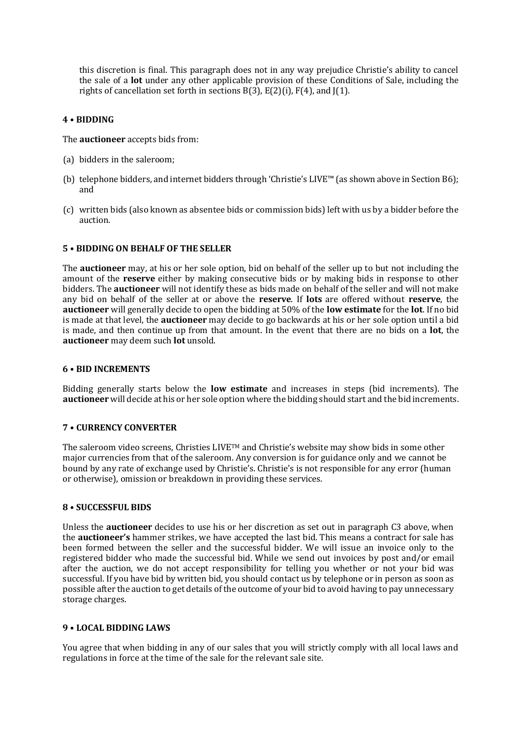this discretion is final. This paragraph does not in any way prejudice Christie's ability to cancel the sale of a **lot** under any other applicable provision of these Conditions of Sale, including the rights of cancellation set forth in sections  $B(3)$ ,  $E(2)(i)$ ,  $F(4)$ , and  $J(1)$ .

#### **4 • BIDDING**

The **auctioneer** accepts bids from:

- (a) bidders in the saleroom;
- (b) telephone bidders, and internet bidders through 'Christie's LIVE™ (as shown above in Section B6); and
- (c) written bids (also known as absentee bids or commission bids) left with us by a bidder before the auction.

#### **5 • BIDDING ON BEHALF OF THE SELLER**

The **auctioneer** may, at his or her sole option, bid on behalf of the seller up to but not including the amount of the **reserve** either by making consecutive bids or by making bids in response to other bidders. The **auctioneer** will not identify these as bids made on behalf of the seller and will not make any bid on behalf of the seller at or above the **reserve**. If **lots** are offered without **reserve**, the **auctioneer** will generally decide to open the bidding at 50% of the **low estimate** for the **lot**. If no bid is made at that level, the **auctioneer** may decide to go backwards at his or her sole option until a bid is made, and then continue up from that amount. In the event that there are no bids on a **lot**, the **auctioneer** may deem such **lot** unsold.

#### **6 • BID INCREMENTS**

Bidding generally starts below the **low estimate** and increases in steps (bid increments). The **auctioneer** will decide at his or her sole option where the bidding should start and the bid increments.

#### **7 • CURRENCY CONVERTER**

The saleroom video screens, Christies LIVE<sup>TM</sup> and Christie's website may show bids in some other major currencies from that of the saleroom. Any conversion is for guidance only and we cannot be bound by any rate of exchange used by Christie's. Christie's is not responsible for any error (human or otherwise), omission or breakdown in providing these services.

#### **8 • SUCCESSFUL BIDS**

Unless the **auctioneer** decides to use his or her discretion as set out in paragraph C3 above, when the **auctioneer's** hammer strikes, we have accepted the last bid. This means a contract for sale has been formed between the seller and the successful bidder. We will issue an invoice only to the registered bidder who made the successful bid. While we send out invoices by post and/or email after the auction, we do not accept responsibility for telling you whether or not your bid was successful. If you have bid by written bid, you should contact us by telephone or in person as soon as possible after the auction to get details of the outcome of your bid to avoid having to pay unnecessary storage charges.

#### **9 • LOCAL BIDDING LAWS**

You agree that when bidding in any of our sales that you will strictly comply with all local laws and regulations in force at the time of the sale for the relevant sale site.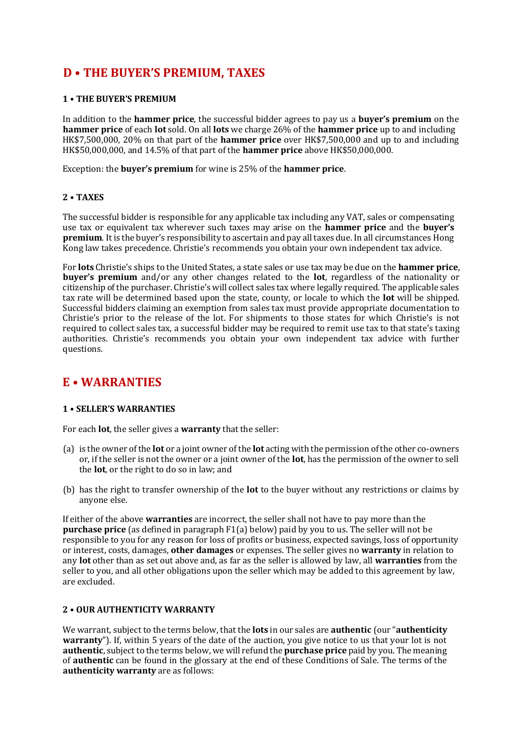# **D • THE BUYER'S PREMIUM, TAXES**

#### **1 • THE BUYER'S PREMIUM**

In addition to the **hammer price**, the successful bidder agrees to pay us a **buyer's premium** on the **hammer price** of each **lot** sold. On all **lots** we charge 26% of the **hammer price** up to and including HK\$7,500,000, 20% on that part of the **hammer price** over HK\$7,500,000 and up to and including HK\$50,000,000, and 14.5% of that part of the **hammer price** above HK\$50,000,000.

Exception: the **buyer's premium** for wine is 25% of the **hammer price**.

#### **2 • TAXES**

The successful bidder is responsible for any applicable tax including any VAT, sales or compensating use tax or equivalent tax wherever such taxes may arise on the **hammer price** and the **buyer's premium**. It is the buyer's responsibility to ascertain and pay all taxes due. In all circumstances Hong Kong law takes precedence. Christie's recommends you obtain your own independent tax advice.

For **lots** Christie's ships to the United States, a state sales or use tax may be due on the **hammer price**, **buyer's premium** and/or any other changes related to the **lot**, regardless of the nationality or citizenship of the purchaser. Christie's will collect sales tax where legally required. The applicable sales tax rate will be determined based upon the state, county, or locale to which the **lot** will be shipped. Successful bidders claiming an exemption from sales tax must provide appropriate documentation to Christie's prior to the release of the lot. For shipments to those states for which Christie's is not required to collect sales tax, a successful bidder may be required to remit use tax to that state's taxing authorities. Christie's recommends you obtain your own independent tax advice with further questions.

### **E • WARRANTIES**

#### **1 • SELLER'S WARRANTIES**

For each **lot**, the seller gives a **warranty** that the seller:

- (a) is the owner of the **lot** or a joint owner of the **lot** acting with the permission of the other co-owners or, if the seller is not the owner or a joint owner of the **lot**, has the permission of the owner to sell the **lot**, or the right to do so in law; and
- (b) has the right to transfer ownership of the **lot** to the buyer without any restrictions or claims by anyone else.

If either of the above **warranties** are incorrect, the seller shall not have to pay more than the **purchase price** (as defined in paragraph F1(a) below) paid by you to us. The seller will not be responsible to you for any reason for loss of profits or business, expected savings, loss of opportunity or interest, costs, damages, **other damages** or expenses. The seller gives no **warranty** in relation to any **lot** other than as set out above and, as far as the seller is allowed by law, all **warranties** from the seller to you, and all other obligations upon the seller which may be added to this agreement by law, are excluded.

#### **2 • OUR AUTHENTICITY WARRANTY**

We warrant, subject to the terms below, that the **lots** in our sales are **authentic** (our "**authenticity warranty**"). If, within 5 years of the date of the auction, you give notice to us that your lot is not **authentic**, subject to the terms below, we will refund the **purchase price** paid by you. The meaning of **authentic** can be found in the glossary at the end of these Conditions of Sale. The terms of the **authenticity warranty** are as follows: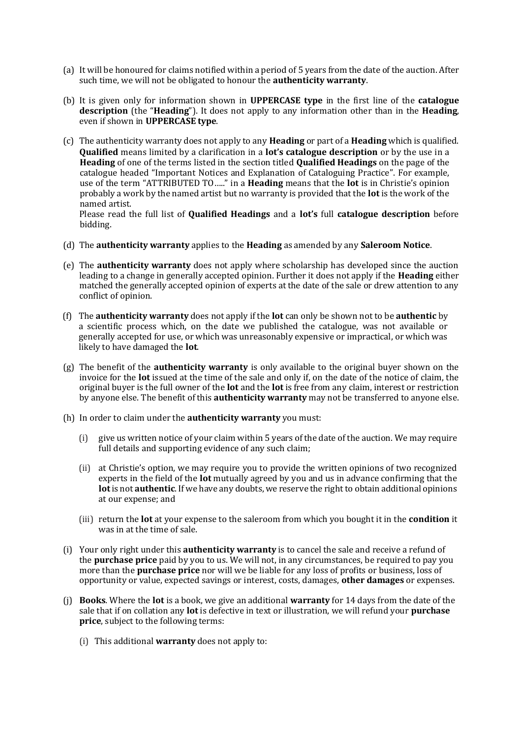- (a) It will be honoured for claims notified within a period of 5 years from the date of the auction. After such time, we will not be obligated to honour the **authenticity warranty**.
- (b) It is given only for information shown in **UPPERCASE type** in the first line of the **catalogue description** (the "**Heading**"). It does not apply to any information other than in the **Heading**, even if shown in **UPPERCASE type**.
- (c) The authenticity warranty does not apply to any **Heading** or part of a **Heading** which is qualified. **Qualified** means limited by a clarification in a **lot's catalogue description** or by the use in a **Heading** of one of the terms listed in the section titled **Qualified Headings** on the page of the catalogue headed "Important Notices and Explanation of Cataloguing Practice". For example, use of the term "ATTRIBUTED TO….." in a **Heading** means that the **lot** is in Christie's opinion probably a work by the named artist but no warranty is provided that the **lot** is the work of the named artist.

Please read the full list of **Qualified Headings** and a **lot's** full **catalogue description** before bidding.

- (d) The **authenticity warranty** applies to the **Heading** as amended by any **Saleroom Notice**.
- (e) The **authenticity warranty** does not apply where scholarship has developed since the auction leading to a change in generally accepted opinion. Further it does not apply if the **Heading** either matched the generally accepted opinion of experts at the date of the sale or drew attention to any conflict of opinion.
- (f) The **authenticity warranty** does not apply if the **lot** can only be shown not to be **authentic** by a scientific process which, on the date we published the catalogue, was not available or generally accepted for use, or which was unreasonably expensive or impractical, or which was likely to have damaged the **lot**.
- (g) The benefit of the **authenticity warranty** is only available to the original buyer shown on the invoice for the **lot** issued at the time of the sale and only if, on the date of the notice of claim, the original buyer is the full owner of the **lot** and the **lot** is free from any claim, interest or restriction by anyone else. The benefit of this **authenticity warranty** may not be transferred to anyone else.
- (h) In order to claim under the **authenticity warranty** you must:
	- (i) give us written notice of your claim within 5 years of the date of the auction. We may require full details and supporting evidence of any such claim;
	- (ii) at Christie's option, we may require you to provide the written opinions of two recognized experts in the field of the **lot** mutually agreed by you and us in advance confirming that the **lot**is not **authentic**. If we have any doubts, we reserve the right to obtain additional opinions at our expense; and
	- (iii) return the **lot** at your expense to the saleroom from which you bought it in the **condition** it was in at the time of sale.
- (i) Your only right under this **authenticity warranty** is to cancel the sale and receive a refund of the **purchase price** paid by you to us. We will not, in any circumstances, be required to pay you more than the **purchase price** nor will we be liable for any loss of profits or business, loss of opportunity or value, expected savings or interest, costs, damages, **other damages** or expenses.
- (j) **Books**. Where the **lot** is a book, we give an additional **warranty** for 14 days from the date of the sale that if on collation any **lot** is defective in text or illustration, we will refund your **purchase price**, subject to the following terms:
	- (i) This additional **warranty** does not apply to: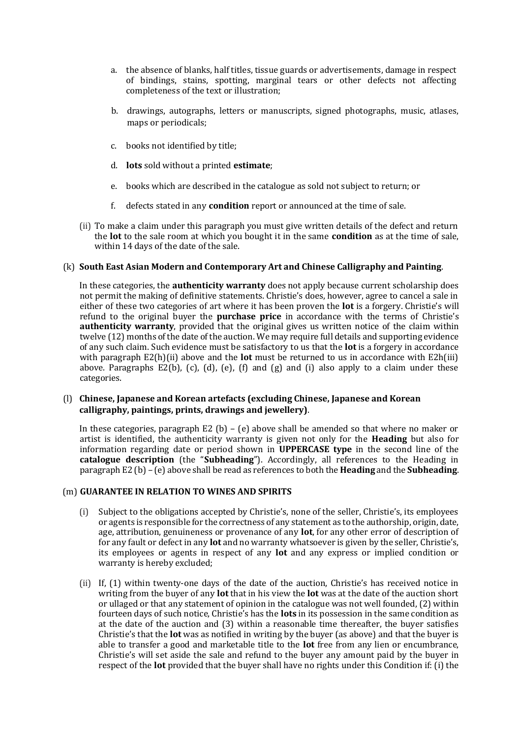- a. the absence of blanks, half titles, tissue guards or advertisements, damage in respect of bindings, stains, spotting, marginal tears or other defects not affecting completeness of the text or illustration;
- b. drawings, autographs, letters or manuscripts, signed photographs, music, atlases, maps or periodicals;
- c. books not identified by title;
- d. **lots** sold without a printed **estimate**;
- e. books which are described in the catalogue as sold not subject to return; or
- f. defects stated in any **condition** report or announced at the time of sale.
- (ii) To make a claim under this paragraph you must give written details of the defect and return the **lot** to the sale room at which you bought it in the same **condition** as at the time of sale, within 14 days of the date of the sale.

#### (k) **South East Asian Modern and Contemporary Art and Chinese Calligraphy and Painting**.

In these categories, the **authenticity warranty** does not apply because current scholarship does not permit the making of definitive statements. Christie's does, however, agree to cancel a sale in either of these two categories of art where it has been proven the **lot** is a forgery. Christie's will refund to the original buyer the **purchase price** in accordance with the terms of Christie's **authenticity warranty**, provided that the original gives us written notice of the claim within twelve (12) months of the date of the auction. We may require full details and supporting evidence of any such claim. Such evidence must be satisfactory to us that the **lot** is a forgery in accordance with paragraph E2(h)(ii) above and the **lot** must be returned to us in accordance with E2h(iii) above. Paragraphs E2(b), (c), (d), (e), (f) and (g) and (i) also apply to a claim under these categories.

#### (l) **Chinese, Japanese and Korean artefacts (excluding Chinese, Japanese and Korean calligraphy, paintings, prints, drawings and jewellery)**.

In these categories, paragraph  $E2$  (b) – (e) above shall be amended so that where no maker or artist is identified, the authenticity warranty is given not only for the **Heading** but also for information regarding date or period shown in **UPPERCASE type** in the second line of the **catalogue description** (the "**Subheading**"). Accordingly, all references to the Heading in paragraph E2 (b) – (e) above shall be read as references to both the **Heading** and the **Subheading**.

#### (m) **GUARANTEE IN RELATION TO WINES AND SPIRITS**

- (i) Subject to the obligations accepted by Christie's, none of the seller, Christie's, its employees or agents is responsible for the correctness of any statement as to the authorship, origin, date, age, attribution, genuineness or provenance of any **lot**, for any other error of description of for any fault or defect in any **lot** and no warranty whatsoever is given by the seller, Christie's, its employees or agents in respect of any **lot** and any express or implied condition or warranty is hereby excluded;
- (ii) If, (1) within twenty-one days of the date of the auction, Christie's has received notice in writing from the buyer of any **lot** that in his view the **lot** was at the date of the auction short or ullaged or that any statement of opinion in the catalogue was not well founded, (2) within fourteen days of such notice, Christie's has the **lots** in its possession in the same condition as at the date of the auction and (3) within a reasonable time thereafter, the buyer satisfies Christie's that the **lot** was as notified in writing by the buyer (as above) and that the buyer is able to transfer a good and marketable title to the **lot** free from any lien or encumbrance, Christie's will set aside the sale and refund to the buyer any amount paid by the buyer in respect of the **lot** provided that the buyer shall have no rights under this Condition if: (i) the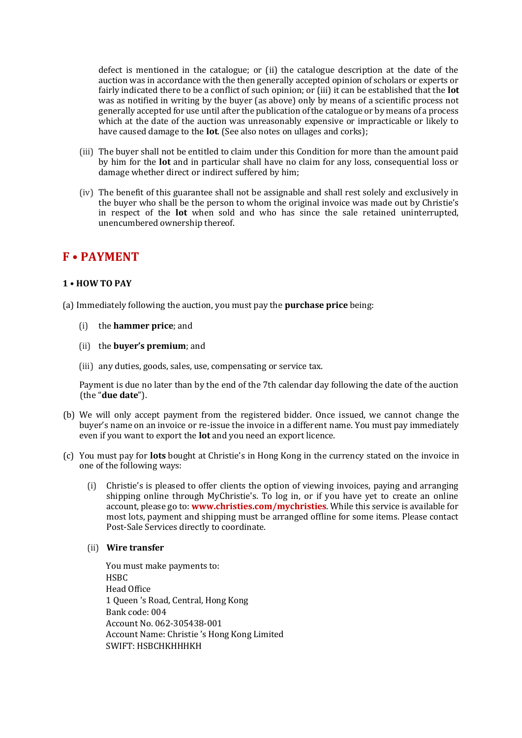defect is mentioned in the catalogue; or (ii) the catalogue description at the date of the auction was in accordance with the then generally accepted opinion of scholars or experts or fairly indicated there to be a conflict of such opinion; or (iii) it can be established that the **lot**  was as notified in writing by the buyer (as above) only by means of a scientific process not generally accepted for use until after the publication of the catalogue or by means of a process which at the date of the auction was unreasonably expensive or impracticable or likely to have caused damage to the **lot**. (See also notes on ullages and corks);

- (iii) The buyer shall not be entitled to claim under this Condition for more than the amount paid by him for the **lot** and in particular shall have no claim for any loss, consequential loss or damage whether direct or indirect suffered by him;
- (iv) The benefit of this guarantee shall not be assignable and shall rest solely and exclusively in the buyer who shall be the person to whom the original invoice was made out by Christie's in respect of the **lot** when sold and who has since the sale retained uninterrupted, unencumbered ownership thereof.

### **F • PAYMENT**

#### **1 • HOW TO PAY**

(a) Immediately following the auction, you must pay the **purchase price** being:

- (i) the **hammer price**; and
- (ii) the **buyer's premium**; and
- (iii) any duties, goods, sales, use, compensating or service tax.

Payment is due no later than by the end of the 7th calendar day following the date of the auction (the "**due date**").

- (b) We will only accept payment from the registered bidder. Once issued, we cannot change the buyer's name on an invoice or re-issue the invoice in a different name. You must pay immediately even if you want to export the **lot** and you need an export licence.
- (c) You must pay for **lots** bought at Christie's in Hong Kong in the currency stated on the invoice in one of the following ways:
	- (i) Christie's is pleased to offer clients the option of viewing invoices, paying and arranging shipping online through MyChristie's. To log in, or if you have yet to create an online account, please go to: **www.christies.com/mychristies**. While this service is available for most lots, payment and shipping must be arranged offline for some items. Please contact Post-Sale Services directly to coordinate.
	- (ii) **Wire transfer**

You must make payments to: **HSBC** Head Office 1 Queen 's Road, Central, Hong Kong Bank code: 004 Account No. 062-305438-001 Account Name: Christie 's Hong Kong Limited SWIFT: HSBCHKHHHKH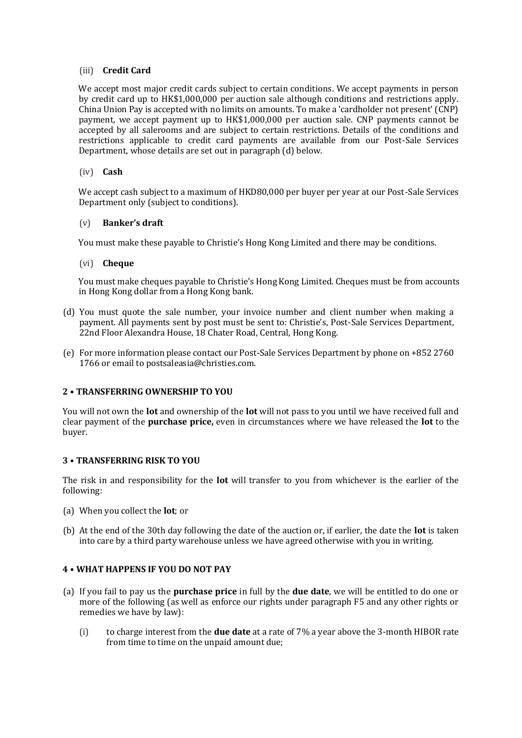#### (iii) **Credit Card**

We accept most major credit cards subject to certain conditions. We accept payments in person by credit card up to HK\$1,000,000 per auction sale although conditions and restrictions apply. China Union Pay is accepted with no limits on amounts. To make a 'cardholder not present' (CNP) payment, we accept payment up to HK\$1,000,000 per auction sale. CNP payments cannot be accepted by all salerooms and are subject to certain restrictions. Details of the conditions and restrictions applicable to credit card payments are available from our Post-Sale Services Department, whose details are set out in paragraph (d) below.

#### (iv) **Cash**

We accept cash subject to a maximum of HKD80,000 per buyer per year at our Post-Sale Services Department only (subject to conditions).

#### (v) **Banker's draft**

You must make these payable to Christie's Hong Kong Limited and there may be conditions.

#### (vi) **Cheque**

You must make cheques payable to Christie's Hong Kong Limited. Cheques must be from accounts in Hong Kong dollar from a Hong Kong bank.

- (d) You must quote the sale number, your invoice number and client number when making a payment. All payments sent by post must be sent to: Christie's, Post-Sale Services Department, 22nd Floor Alexandra House, 18 Chater Road, Central, Hong Kong.
- (e) For more information please contact our Post-Sale Services Department by phone on +852 2760 1766 or email to postsaleasia@christies.com.

#### **2 • TRANSFERRING OWNERSHIP TO YOU**

You will not own the **lot** and ownership of the **lot** will not pass to you until we have received full and clear payment of the **purchase price,** even in circumstances where we have released the **lot** to the buyer.

#### **3 • TRANSFERRING RISK TO YOU**

The risk in and responsibility for the **lot** will transfer to you from whichever is the earlier of the following:

- (a) When you collect the **lot**; or
- (b) At the end of the 30th day following the date of the auction or, if earlier, the date the **lot** is taken into care by a third party warehouse unless we have agreed otherwise with you in writing.

#### **4 • WHAT HAPPENS IF YOU DO NOT PAY**

- (a) If you fail to pay us the **purchase price** in full by the **due date**, we will be entitled to do one or more of the following (as well as enforce our rights under paragraph F5 and any other rights or remedies we have by law):
	- (i) to charge interest from the **due date** at a rate of 7% a year above the 3-month HIBOR rate from time to time on the unpaid amount due;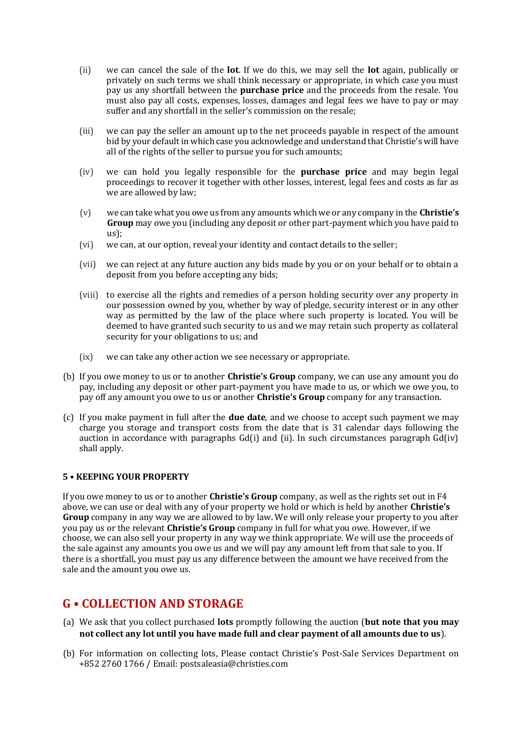- (ii) we can cancel the sale of the **lot**. If we do this, we may sell the **lot** again, publically or privately on such terms we shall think necessary or appropriate, in which case you must pay us any shortfall between the **purchase price** and the proceeds from the resale. You must also pay all costs, expenses, losses, damages and legal fees we have to pay or may suffer and any shortfall in the seller's commission on the resale;
- (iii) we can pay the seller an amount up to the net proceeds payable in respect of the amount bid by your default in which case you acknowledge and understand that Christie's will have all of the rights of the seller to pursue you for such amounts;
- (iv) we can hold you legally responsible for the **purchase price** and may begin legal proceedings to recover it together with other losses, interest, legal fees and costs as far as we are allowed by law;
- (v) we can take what you owe us from any amounts which we or any company in the **Christie's Group** may owe you (including any deposit or other part-payment which you have paid to us);
- (vi) we can, at our option, reveal your identity and contact details to the seller;
- (vii) we can reject at any future auction any bids made by you or on your behalf or to obtain a deposit from you before accepting any bids;
- (viii) to exercise all the rights and remedies of a person holding security over any property in our possession owned by you, whether by way of pledge, security interest or in any other way as permitted by the law of the place where such property is located. You will be deemed to have granted such security to us and we may retain such property as collateral security for your obligations to us; and
- (ix) we can take any other action we see necessary or appropriate.
- (b) If you owe money to us or to another **Christie's Group** company, we can use any amount you do pay, including any deposit or other part-payment you have made to us, or which we owe you, to pay off any amount you owe to us or another **Christie's Group** company for any transaction.
- (c) If you make payment in full after the **due date**, and we choose to accept such payment we may charge you storage and transport costs from the date that is 31 calendar days following the auction in accordance with paragraphs Gd(i) and (ii). In such circumstances paragraph Gd(iv) shall apply.

#### **5 • KEEPING YOUR PROPERTY**

If you owe money to us or to another **Christie's Group** company, as well as the rights set out in F4 above, we can use or deal with any of your property we hold or which is held by another **Christie's Group** company in any way we are allowed to by law. We will only release your property to you after you pay us or the relevant **Christie's Group** company in full for what you owe. However, if we choose, we can also sell your property in any way we think appropriate. We will use the proceeds of the sale against any amounts you owe us and we will pay any amount left from that sale to you. If there is a shortfall, you must pay us any difference between the amount we have received from the sale and the amount you owe us.

# **G • COLLECTION AND STORAGE**

- (a) We ask that you collect purchased **lots** promptly following the auction (**but note that you may not collect any lot until you have made full and clear payment of all amounts due to us**).
- (b) For information on collecting lots, Please contact Christie's Post-Sale Services Department on +852 2760 1766 / Email: postsaleasia@christies.com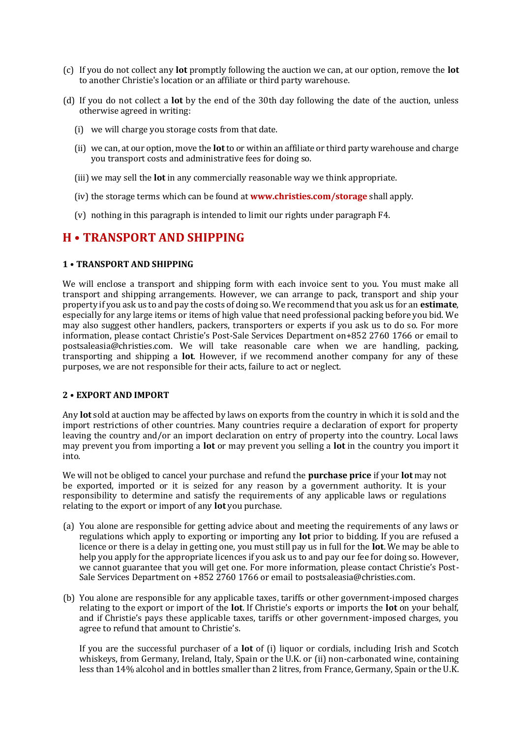- (c) If you do not collect any **lot** promptly following the auction we can, at our option, remove the **lot** to another Christie's location or an affiliate or third party warehouse.
- (d) If you do not collect a **lot** by the end of the 30th day following the date of the auction, unless otherwise agreed in writing:
	- (i) we will charge you storage costs from that date.
	- (ii) we can, at our option, move the **lot**to or within an affiliate or third party warehouse and charge you transport costs and administrative fees for doing so.
	- (iii) we may sell the **lot** in any commercially reasonable way we think appropriate.
	- (iv) the storage terms which can be found at **www.christies.com/storage** shall apply.
	- (v) nothing in this paragraph is intended to limit our rights under paragraph F4.

### **H • TRANSPORT AND SHIPPING**

#### **1 • TRANSPORT AND SHIPPING**

We will enclose a transport and shipping form with each invoice sent to you. You must make all transport and shipping arrangements. However, we can arrange to pack, transport and ship your property if you ask us to and pay the costs of doing so. We recommend that you ask us for an **estimate**, especially for any large items or items of high value that need professional packing before you bid. We may also suggest other handlers, packers, transporters or experts if you ask us to do so. For more information, please contact Christie's Post-Sale Services Department on+852 2760 1766 or email to postsaleasia@christies.com. We will take reasonable care when we are handling, packing, transporting and shipping a **lot**. However, if we recommend another company for any of these purposes, we are not responsible for their acts, failure to act or neglect.

#### **2 • EXPORT AND IMPORT**

Any **lot** sold at auction may be affected by laws on exports from the country in which it is sold and the import restrictions of other countries. Many countries require a declaration of export for property leaving the country and/or an import declaration on entry of property into the country. Local laws may prevent you from importing a **lot** or may prevent you selling a **lot** in the country you import it into.

We will not be obliged to cancel your purchase and refund the **purchase price** if your **lot** may not be exported, imported or it is seized for any reason by a government authority. It is your responsibility to determine and satisfy the requirements of any applicable laws or regulations relating to the export or import of any **lot** you purchase.

- (a) You alone are responsible for getting advice about and meeting the requirements of any laws or regulations which apply to exporting or importing any **lot** prior to bidding. If you are refused a licence or there is a delay in getting one, you must still pay us in full for the **lot**. We may be able to help you apply for the appropriate licences if you ask us to and pay our fee for doing so. However, we cannot guarantee that you will get one. For more information, please contact Christie's Post-Sale Services Department on +852 2760 1766 or email to postsaleasia@christies.com.
- (b) You alone are responsible for any applicable taxes, tariffs or other government-imposed charges relating to the export or import of the **lot**. If Christie's exports or imports the **lot** on your behalf, and if Christie's pays these applicable taxes, tariffs or other government-imposed charges, you agree to refund that amount to Christie's.

If you are the successful purchaser of a **lot** of (i) liquor or cordials, including Irish and Scotch whiskeys, from Germany, Ireland, Italy, Spain or the U.K. or (ii) non-carbonated wine, containing less than 14% alcohol and in bottles smaller than 2 litres, from France, Germany, Spain or the U.K.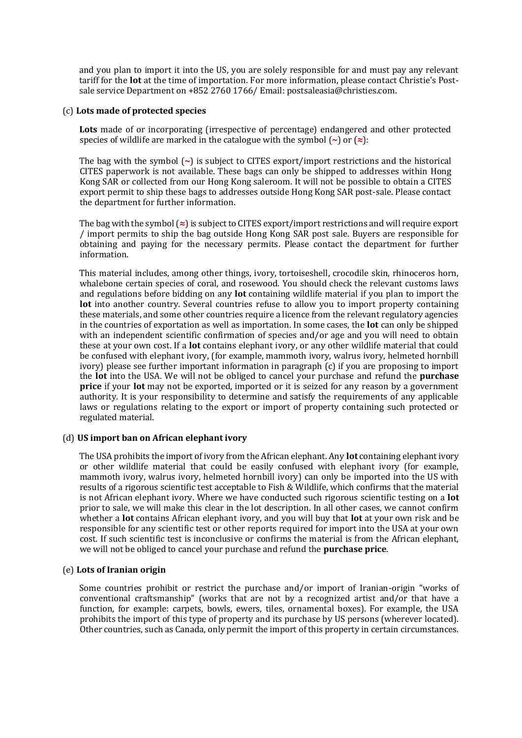and you plan to import it into the US, you are solely responsible for and must pay any relevant tariff for the **lot** at the time of importation. For more information, please contact Christie's Postsale service Department on +852 2760 1766/ Email: postsaleasia@christies.com.

#### (c) **Lots made of protected species**

**Lots** made of or incorporating (irrespective of percentage) endangered and other protected species of wildlife are marked in the catalogue with the symbol (**~**) or (**≈**):

The bag with the symbol (**~**) is subject to CITES export/import restrictions and the historical CITES paperwork is not available. These bags can only be shipped to addresses within Hong Kong SAR or collected from our Hong Kong saleroom. It will not be possible to obtain a CITES export permit to ship these bags to addresses outside Hong Kong SAR post-sale. Please contact the department for further information.

The bag with the symbol (**≈**) is subject to CITES export/import restrictions and will require export / import permits to ship the bag outside Hong Kong SAR post sale. Buyers are responsible for obtaining and paying for the necessary permits. Please contact the department for further information.

This material includes, among other things, ivory, tortoiseshell, crocodile skin, rhinoceros horn, whalebone certain species of coral, and rosewood. You should check the relevant customs laws and regulations before bidding on any **lot** containing wildlife material if you plan to import the **lot** into another country. Several countries refuse to allow you to import property containing these materials, and some other countries require a licence from the relevant regulatory agencies in the countries of exportation as well as importation. In some cases, the **lot** can only be shipped with an independent scientific confirmation of species and/or age and you will need to obtain these at your own cost. If a **lot** contains elephant ivory, or any other wildlife material that could be confused with elephant ivory, (for example, mammoth ivory, walrus ivory, helmeted hornbill ivory) please see further important information in paragraph (c) if you are proposing to import the **lot** into the USA. We will not be obliged to cancel your purchase and refund the **purchase price** if your **lot** may not be exported, imported or it is seized for any reason by a government authority. It is your responsibility to determine and satisfy the requirements of any applicable laws or regulations relating to the export or import of property containing such protected or regulated material.

#### (d) **US import ban on African elephant ivory**

The USA prohibits the import of ivory from the African elephant. Any **lot** containing elephant ivory or other wildlife material that could be easily confused with elephant ivory (for example, mammoth ivory, walrus ivory, helmeted hornbill ivory) can only be imported into the US with results of a rigorous scientific test acceptable to Fish & Wildlife, which confirms that the material is not African elephant ivory. Where we have conducted such rigorous scientific testing on a **lot**  prior to sale, we will make this clear in the lot description. In all other cases, we cannot confirm whether a **lot** contains African elephant ivory, and you will buy that **lot** at your own risk and be responsible for any scientific test or other reports required for import into the USA at your own cost. If such scientific test is inconclusive or confirms the material is from the African elephant, we will not be obliged to cancel your purchase and refund the **purchase price**.

#### (e) **Lots of Iranian origin**

Some countries prohibit or restrict the purchase and/or import of Iranian-origin "works of conventional craftsmanship" (works that are not by a recognized artist and/or that have a function, for example: carpets, bowls, ewers, tiles, ornamental boxes). For example, the USA prohibits the import of this type of property and its purchase by US persons (wherever located). Other countries, such as Canada, only permit the import of this property in certain circumstances.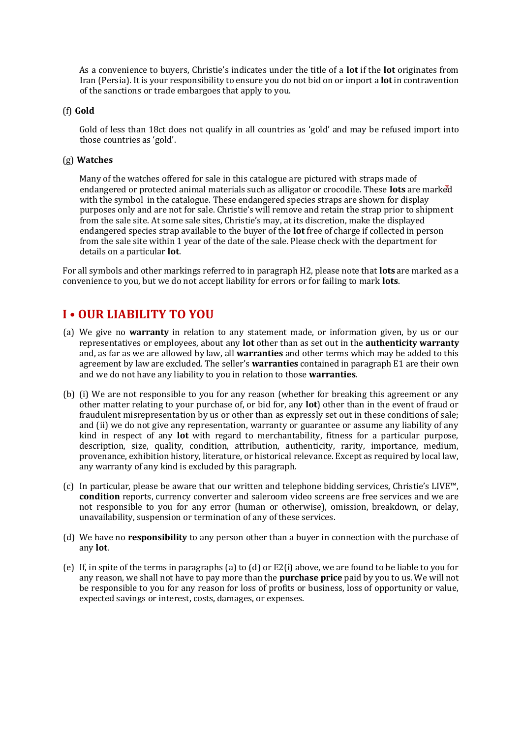As a convenience to buyers, Christie's indicates under the title of a **lot** if the **lot** originates from Iran (Persia). It is your responsibility to ensure you do not bid on or import a **lot** in contravention of the sanctions or trade embargoes that apply to you.

#### (f) **Gold**

Gold of less than 18ct does not qualify in all countries as 'gold' and may be refused import into those countries as 'gold'.

#### (g) **Watches**

Many of the watches offered for sale in this catalogue are pictured with straps made of endangered or protected animal materials such as alligator or crocodile. These **lots** are marked with the symbol in the catalogue. These endangered species straps are shown for display purposes only and are not for sale. Christie's will remove and retain the strap prior to shipment from the sale site. At some sale sites, Christie's may, at its discretion, make the displayed endangered species strap available to the buyer of the **lot** free of charge if collected in person from the sale site within 1 year of the date of the sale. Please check with the department for details on a particular **lot**.

For all symbols and other markings referred to in paragraph H2, please note that **lots** are marked as a convenience to you, but we do not accept liability for errors or for failing to mark **lots**.

## **I • OUR LIABILITY TO YOU**

- (a) We give no **warranty** in relation to any statement made, or information given, by us or our representatives or employees, about any **lot** other than as set out in the **authenticity warranty** and, as far as we are allowed by law, all **warranties** and other terms which may be added to this agreement by law are excluded. The seller's **warranties** contained in paragraph E1 are their own and we do not have any liability to you in relation to those **warranties**.
- (b) (i) We are not responsible to you for any reason (whether for breaking this agreement or any other matter relating to your purchase of, or bid for, any **lot**) other than in the event of fraud or fraudulent misrepresentation by us or other than as expressly set out in these conditions of sale; and (ii) we do not give any representation, warranty or guarantee or assume any liability of any kind in respect of any **lot** with regard to merchantability, fitness for a particular purpose, description, size, quality, condition, attribution, authenticity, rarity, importance, medium, provenance, exhibition history, literature, or historical relevance. Except as required by local law, any warranty of any kind is excluded by this paragraph.
- (c) In particular, please be aware that our written and telephone bidding services, Christie's LIVE™, **condition** reports, currency converter and saleroom video screens are free services and we are not responsible to you for any error (human or otherwise), omission, breakdown, or delay, unavailability, suspension or termination of any of these services.
- (d) We have no **responsibility** to any person other than a buyer in connection with the purchase of any **lot**.
- (e) If, in spite of the terms in paragraphs (a) to (d) or E2(i) above, we are found to be liable to you for any reason, we shall not have to pay more than the **purchase price** paid by you to us. We will not be responsible to you for any reason for loss of profits or business, loss of opportunity or value, expected savings or interest, costs, damages, or expenses.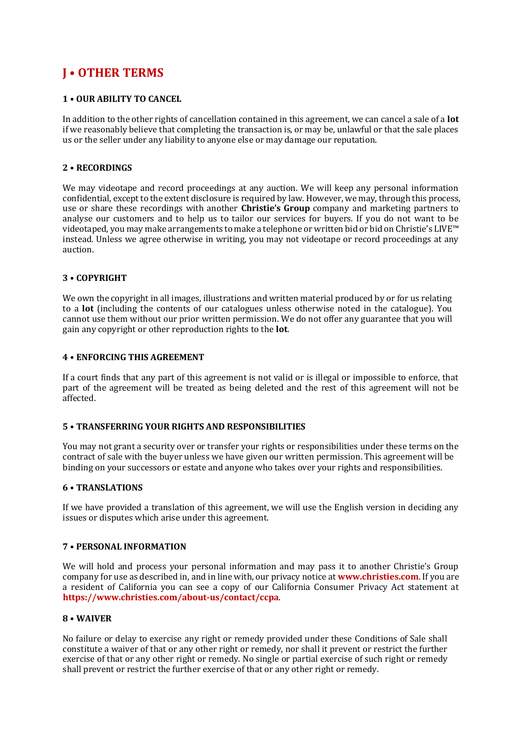# **J • OTHER TERMS**

#### **1 • OUR ABILITY TO CANCEL**

In addition to the other rights of cancellation contained in this agreement, we can cancel a sale of a **lot** if we reasonably believe that completing the transaction is, or may be, unlawful or that the sale places us or the seller under any liability to anyone else or may damage our reputation.

#### **2 • RECORDINGS**

We may videotape and record proceedings at any auction. We will keep any personal information confidential, except to the extent disclosure is required by law. However, we may, through this process, use or share these recordings with another **Christie's Group** company and marketing partners to analyse our customers and to help us to tailor our services for buyers. If you do not want to be videotaped, you may make arrangements to make a telephone or written bid or bid on Christie's LIVE™ instead. Unless we agree otherwise in writing, you may not videotape or record proceedings at any auction.

#### **3 • COPYRIGHT**

We own the copyright in all images, illustrations and written material produced by or for us relating to a **lot** (including the contents of our catalogues unless otherwise noted in the catalogue). You cannot use them without our prior written permission. We do not offer any guarantee that you will gain any copyright or other reproduction rights to the **lot**.

#### **4 • ENFORCING THIS AGREEMENT**

If a court finds that any part of this agreement is not valid or is illegal or impossible to enforce, that part of the agreement will be treated as being deleted and the rest of this agreement will not be affected.

#### **5 • TRANSFERRING YOUR RIGHTS AND RESPONSIBILITIES**

You may not grant a security over or transfer your rights or responsibilities under these terms on the contract of sale with the buyer unless we have given our written permission. This agreement will be binding on your successors or estate and anyone who takes over your rights and responsibilities.

#### **6 • TRANSLATIONS**

If we have provided a translation of this agreement, we will use the English version in deciding any issues or disputes which arise under this agreement.

#### **7 • PERSONAL INFORMATION**

We will hold and process your personal information and may pass it to another Christie's Group company for use as described in, and in line with, our privacy notice [at](http://www.christies.com/about-us/contact/privacy) **[www.christies.com](http://www.christies.com/about-us/contact/privacy)**. If you are a resident of California you can see a copy of our California Consumer Privacy Act statement [at](https://www.christies.com/about-us/contact/ccpa)  **<https://www.christies.com/about-us/contact/ccpa>**.

#### **8 • WAIVER**

No failure or delay to exercise any right or remedy provided under these Conditions of Sale shall constitute a waiver of that or any other right or remedy, nor shall it prevent or restrict the further exercise of that or any other right or remedy. No single or partial exercise of such right or remedy shall prevent or restrict the further exercise of that or any other right or remedy.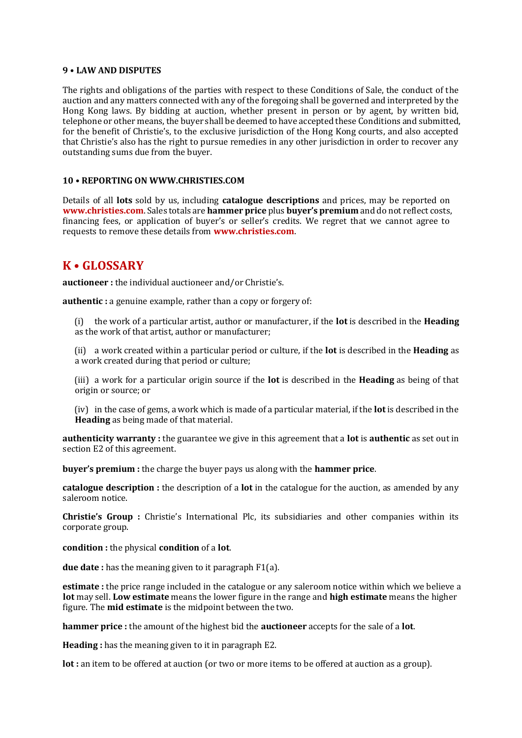#### **9 • LAW AND DISPUTES**

The rights and obligations of the parties with respect to these Conditions of Sale, the conduct of the auction and any matters connected with any of the foregoing shall be governed and interpreted by the Hong Kong laws. By bidding at auction, whether present in person or by agent, by written bid, telephone or other means, the buyer shall be deemed to have accepted these Conditions and submitted, for the benefit of Christie's, to the exclusive jurisdiction of the Hong Kong courts, and also accepted that Christie's also has the right to pursue remedies in any other jurisdiction in order to recover any outstanding sums due from the buyer.

#### **10 • REPORTING ON WWW.CHRISTIES.COM**

Details of all **lots** sold by us, including **catalogue descriptions** and prices, may be reported on **www.christies.com**. Sales totals are **hammer price** plus **buyer's premium** and do not reflect costs, financing fees, or application of buyer's or seller's credits. We regret that we cannot agree to requests to remove these details from **www.christies.com**.

### **K • GLOSSARY**

**auctioneer :** the individual auctioneer and/or Christie's.

**authentic :** a genuine example, rather than a copy or forgery of:

(i) the work of a particular artist, author or manufacturer, if the **lot** is described in the **Heading** as the work of that artist, author or manufacturer;

(ii) a work created within a particular period or culture, if the **lot** is described in the **Heading** as a work created during that period or culture;

(iii) a work for a particular origin source if the **lot** is described in the **Heading** as being of that origin or source; or

(iv) in the case of gems, a work which is made of a particular material, if the **lot** is described in the **Heading** as being made of that material.

**authenticity warranty :** the guarantee we give in this agreement that a **lot** is **authentic** as set out in section E2 of this agreement.

**buyer's premium :** the charge the buyer pays us along with the **hammer price**.

**catalogue description :** the description of a **lot** in the catalogue for the auction, as amended by any saleroom notice.

**Christie's Group :** Christie's International Plc, its subsidiaries and other companies within its corporate group.

**condition :** the physical **condition** of a **lot**.

**due date :** has the meaning given to it paragraph F1(a).

**estimate :** the price range included in the catalogue or any saleroom notice within which we believe a **lot** may sell. **Low estimate** means the lower figure in the range and **high estimate** means the higher figure. The **mid estimate** is the midpoint between the two.

**hammer price :** the amount of the highest bid the **auctioneer** accepts for the sale of a **lot**.

**Heading :** has the meaning given to it in paragraph E2.

**lot :** an item to be offered at auction (or two or more items to be offered at auction as a group).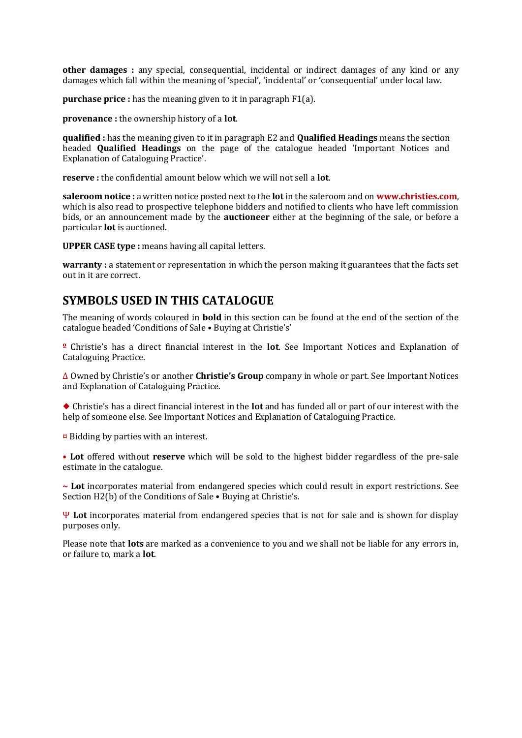**other damages :** any special, consequential, incidental or indirect damages of any kind or any damages which fall within the meaning of 'special', 'incidental' or 'consequential' under local law.

**purchase price :** has the meaning given to it in paragraph F1(a).

**provenance :** the ownership history of a **lot**.

**qualified :** has the meaning given to it in paragraph E2 and **Qualified Headings** means the section headed **Qualified Headings** on the page of the catalogue headed 'Important Notices and Explanation of Cataloguing Practice'.

**reserve :** the confidential amount below which we will not sell a **lot**.

**saleroom notice :** a written notice posted next to the **lot** in the saleroom and on **www.christies.com**, which is also read to prospective telephone bidders and notified to clients who have left commission bids, or an announcement made by the **auctioneer** either at the beginning of the sale, or before a particular **lot** is auctioned.

**UPPER CASE type :** means having all capital letters.

**warranty :** a statement or representation in which the person making it guarantees that the facts set out in it are correct.

### **SYMBOLS USED IN THIS CATALOGUE**

The meaning of words coloured in **bold** in this section can be found at the end of the section of the catalogue headed 'Conditions of Sale • Buying at Christie's'

**º** Christie's has a direct financial interest in the **lot**. See Important Notices and Explanation of Cataloguing Practice.

∆ Owned by Christie's or another **Christie's Group** company in whole or part. See Important Notices and Explanation of Cataloguing Practice.

◆ Christie's has a direct financial interest in the **lot** and has funded all or part of our interest with the help of someone else. See Important Notices and Explanation of Cataloguing Practice.

¤ Bidding by parties with an interest.

**• Lot** offered without **reserve** which will be sold to the highest bidder regardless of the pre-sale estimate in the catalogue.

**~ Lot** incorporates material from endangered species which could result in export restrictions. See Section H2(b) of the Conditions of Sale • Buying at Christie's.

Ψ **Lot** incorporates material from endangered species that is not for sale and is shown for display purposes only.

Please note that **lots** are marked as a convenience to you and we shall not be liable for any errors in, or failure to, mark a **lot**.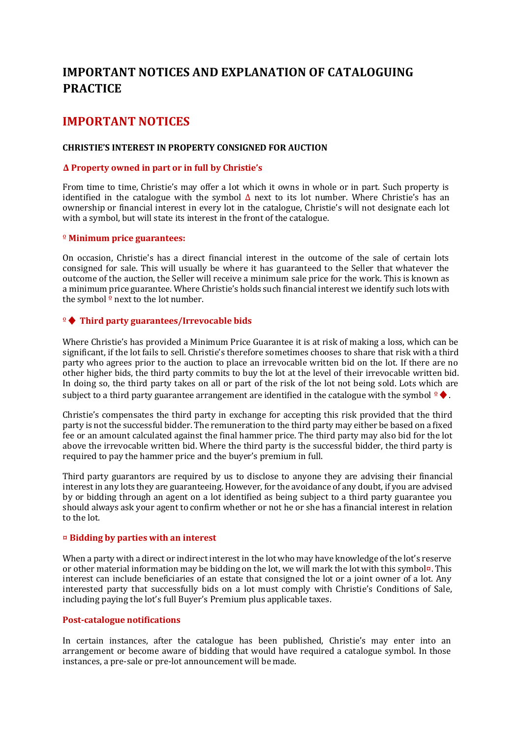# **IMPORTANT NOTICES AND EXPLANATION OF CATALOGUING PRACTICE**

# **IMPORTANT NOTICES**

#### **CHRISTIE'S INTEREST IN PROPERTY CONSIGNED FOR AUCTION**

#### **Δ Property owned in part or in full by Christie's**

From time to time, Christie's may offer a lot which it owns in whole or in part. Such property is identified in the catalogue with the symbol  $\Delta$  next to its lot number. Where Christie's has an ownership or financial interest in every lot in the catalogue, Christie's will not designate each lot with a symbol, but will state its interest in the front of the catalogue.

#### º **Minimum price guarantees:**

On occasion, Christie's has a direct financial interest in the outcome of the sale of certain lots consigned for sale. This will usually be where it has guaranteed to the Seller that whatever the outcome of the auction, the Seller will receive a minimum sale price for the work. This is known as a minimum price guarantee. Where Christie's holds such financial interest we identify such lots with the symbol  $\frac{9}{2}$  next to the lot number.

#### º♦ **Third party guarantees/Irrevocable bids**

Where Christie's has provided a Minimum Price Guarantee it is at risk of making a loss, which can be significant, if the lot fails to sell. Christie's therefore sometimes chooses to share that risk with a third party who agrees prior to the auction to place an irrevocable written bid on the lot. If there are no other higher bids, the third party commits to buy the lot at the level of their irrevocable written bid. In doing so, the third party takes on all or part of the risk of the lot not being sold. Lots which are subject to a third party guarantee arrangement are identified in the catalogue with the symbol  $\frac{1}{2} \blacklozenge$ .

Christie's compensates the third party in exchange for accepting this risk provided that the third party is not the successful bidder. The remuneration to the third party may either be based on a fixed fee or an amount calculated against the final hammer price. The third party may also bid for the lot above the irrevocable written bid. Where the third party is the successful bidder, the third party is required to pay the hammer price and the buyer's premium in full.

Third party guarantors are required by us to disclose to anyone they are advising their financial interest in any lots they are guaranteeing. However, for the avoidance of any doubt, if you are advised by or bidding through an agent on a lot identified as being subject to a third party guarantee you should always ask your agent to confirm whether or not he or she has a financial interest in relation to the lot.

#### ¤ **Bidding by parties with an interest**

When a party with a direct or indirect interest in the lot who may have knowledge of the lot's reserve or other material information may be bidding on the lot, we will mark the lot with this symbol¤. This interest can include beneficiaries of an estate that consigned the lot or a joint owner of a lot. Any interested party that successfully bids on a lot must comply with Christie's Conditions of Sale, including paying the lot's full Buyer's Premium plus applicable taxes.

#### **Post-catalogue notifications**

In certain instances, after the catalogue has been published, Christie's may enter into an arrangement or become aware of bidding that would have required a catalogue symbol. In those instances, a pre-sale or pre-lot announcement will be made.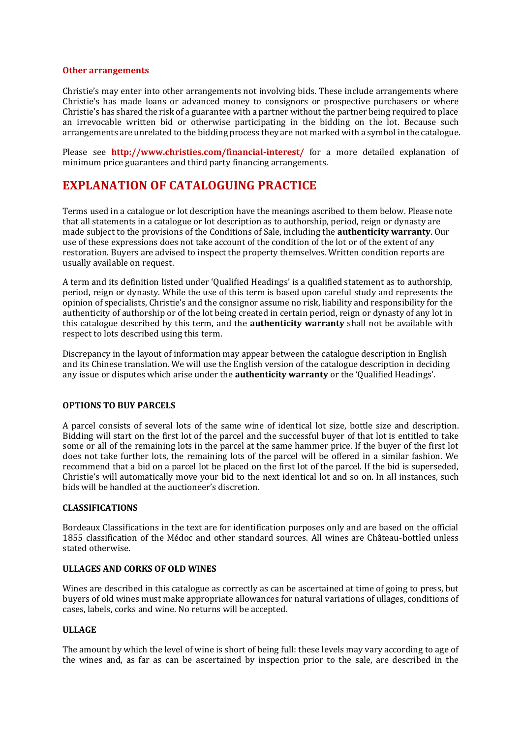#### **Other arrangements**

Christie's may enter into other arrangements not involving bids. These include arrangements where Christie's has made loans or advanced money to consignors or prospective purchasers or where Christie's has shared the risk of a guarantee with a partner without the partner being required to place an irrevocable written bid or otherwise participating in the bidding on the lot. Because such arrangements are unrelated to the bidding process they are not marked with a symbol in the catalogue.

Please see **http://www.christies.com/financial-interest/** for a more detailed explanation of minimum price guarantees and third party financing arrangements.

# **EXPLANATION OF CATALOGUING PRACTICE**

Terms used in a catalogue or lot description have the meanings ascribed to them below. Please note that all statements in a catalogue or lot description as to authorship, period, reign or dynasty are made subject to the provisions of the Conditions of Sale, including the **authenticity warranty**. Our use of these expressions does not take account of the condition of the lot or of the extent of any restoration. Buyers are advised to inspect the property themselves. Written condition reports are usually available on request.

A term and its definition listed under 'Qualified Headings' is a qualified statement as to authorship, period, reign or dynasty. While the use of this term is based upon careful study and represents the opinion of specialists, Christie's and the consignor assume no risk, liability and responsibility for the authenticity of authorship or of the lot being created in certain period, reign or dynasty of any lot in this catalogue described by this term, and the **authenticity warranty** shall not be available with respect to lots described using this term.

Discrepancy in the layout of information may appear between the catalogue description in English and its Chinese translation. We will use the English version of the catalogue description in deciding any issue or disputes which arise under the **authenticity warranty** or the 'Qualified Headings'.

#### **OPTIONS TO BUY PARCELS**

A parcel consists of several lots of the same wine of identical lot size, bottle size and description. Bidding will start on the first lot of the parcel and the successful buyer of that lot is entitled to take some or all of the remaining lots in the parcel at the same hammer price. If the buyer of the first lot does not take further lots, the remaining lots of the parcel will be offered in a similar fashion. We recommend that a bid on a parcel lot be placed on the first lot of the parcel. If the bid is superseded, Christie's will automatically move your bid to the next identical lot and so on. In all instances, such bids will be handled at the auctioneer's discretion.

#### **CLASSIFICATIONS**

Bordeaux Classifications in the text are for identification purposes only and are based on the official 1855 classification of the Médoc and other standard sources. All wines are Château-bottled unless stated otherwise.

#### **ULLAGES AND CORKS OF OLD WINES**

Wines are described in this catalogue as correctly as can be ascertained at time of going to press, but buyers of old wines must make appropriate allowances for natural variations of ullages, conditions of cases, labels, corks and wine. No returns will be accepted.

#### **ULLAGE**

The amount by which the level of wine is short of being full: these levels may vary according to age of the wines and, as far as can be ascertained by inspection prior to the sale, are described in the